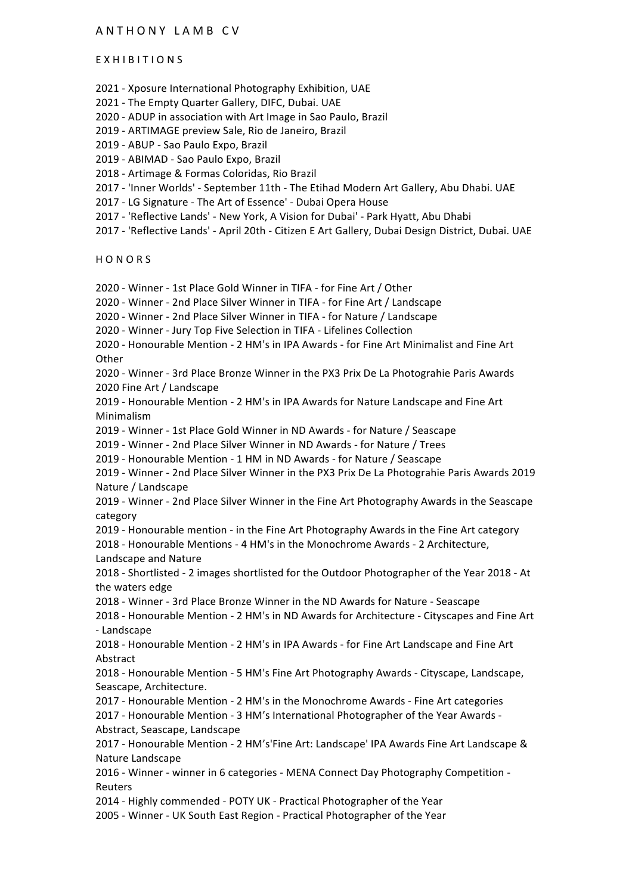# ANTHONY LAMB CV

#### EXHIBITIONS

2021 - Xposure International Photography Exhibition, UAE

2021 - The Empty Quarter Gallery, DIFC, Dubai. UAE

2020 - ADUP in association with Art Image in Sao Paulo, Brazil

2019 - ARTIMAGE preview Sale, Rio de Janeiro, Brazil

2019 - ABUP - Sao Paulo Expo, Brazil

2019 - ABIMAD - Sao Paulo Expo, Brazil

2018 - Artimage & Formas Coloridas, Rio Brazil

2017 - 'Inner Worlds' - September 11th - The Etihad Modern Art Gallery, Abu Dhabi. UAE

2017 - LG Signature - The Art of Essence' - Dubai Opera House

2017 - 'Reflective Lands' - New York, A Vision for Dubai' - Park Hyatt, Abu Dhabi

2017 - 'Reflective Lands' - April 20th - Citizen E Art Gallery, Dubai Design District, Dubai. UAE

**HONORS** 

2020 - Winner - 1st Place Gold Winner in TIFA - for Fine Art / Other

2020 - Winner - 2nd Place Silver Winner in TIFA - for Fine Art / Landscape

2020 - Winner - 2nd Place Silver Winner in TIFA - for Nature / Landscape

2020 - Winner - Jury Top Five Selection in TIFA - Lifelines Collection

2020 - Honourable Mention - 2 HM's in IPA Awards - for Fine Art Minimalist and Fine Art **Other** 

2020 - Winner - 3rd Place Bronze Winner in the PX3 Prix De La Photograhie Paris Awards 2020 Fine Art / Landscape

2019 - Honourable Mention - 2 HM's in IPA Awards for Nature Landscape and Fine Art Minimalism

2019 - Winner - 1st Place Gold Winner in ND Awards - for Nature / Seascape

2019 - Winner - 2nd Place Silver Winner in ND Awards - for Nature / Trees

2019 - Honourable Mention - 1 HM in ND Awards - for Nature / Seascape

2019 - Winner - 2nd Place Silver Winner in the PX3 Prix De La Photograhie Paris Awards 2019 Nature / Landscape

2019 - Winner - 2nd Place Silver Winner in the Fine Art Photography Awards in the Seascape category

2019 - Honourable mention - in the Fine Art Photography Awards in the Fine Art category 2018 - Honourable Mentions - 4 HM's in the Monochrome Awards - 2 Architecture, Landscape and Nature

2018 - Shortlisted - 2 images shortlisted for the Outdoor Photographer of the Year 2018 - At the waters edge

2018 - Winner - 3rd Place Bronze Winner in the ND Awards for Nature - Seascape

2018 - Honourable Mention - 2 HM's in ND Awards for Architecture - Cityscapes and Fine Art - Landscape

2018 - Honourable Mention - 2 HM's in IPA Awards - for Fine Art Landscape and Fine Art Abstract

2018 - Honourable Mention - 5 HM's Fine Art Photography Awards - Cityscape, Landscape, Seascape, Architecture.

2017 - Honourable Mention - 2 HM's in the Monochrome Awards - Fine Art categories 2017 - Honourable Mention - 3 HM's International Photographer of the Year Awards -Abstract, Seascape, Landscape

2017 - Honourable Mention - 2 HM's'Fine Art: Landscape' IPA Awards Fine Art Landscape & Nature Landscape

2016 - Winner - winner in 6 categories - MENA Connect Day Photography Competition -Reuters

2014 - Highly commended - POTY UK - Practical Photographer of the Year

2005 - Winner - UK South East Region - Practical Photographer of the Year